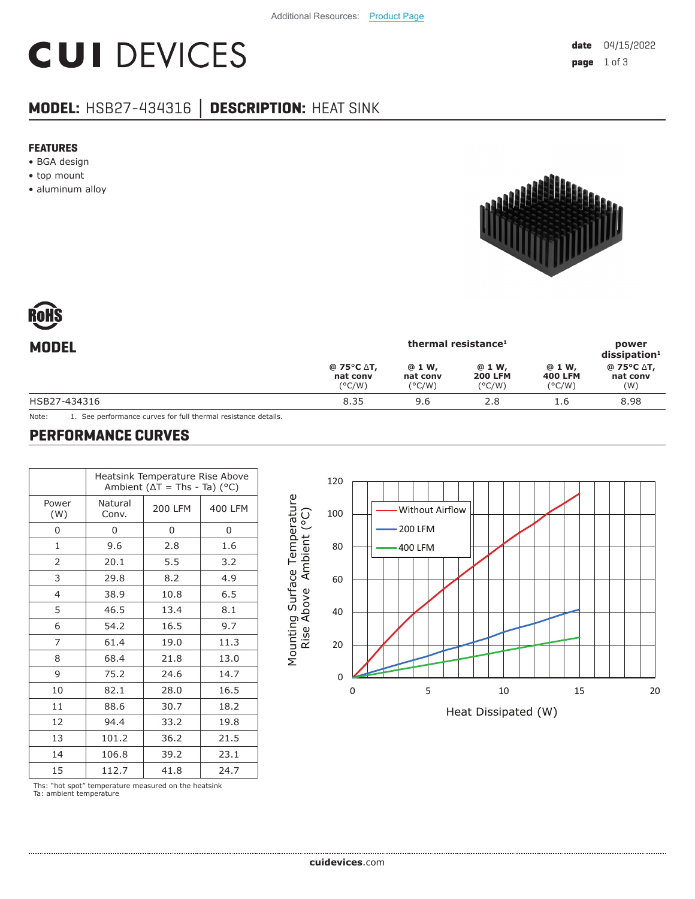# **CUI DEVICES**

### **MODEL:** HSB27-434316 **│ DESCRIPTION:** HEAT SINK

#### **FEATURES**

- BGA design
- top mount
- aluminum alloy





| <b>MODEL</b> | thermal resistance <sup>1</sup>  |                                       |                                             |                                              | power<br>$dis$ sipation <sup>1</sup> |  |
|--------------|----------------------------------|---------------------------------------|---------------------------------------------|----------------------------------------------|--------------------------------------|--|
|              | @ 75°C ∆T,<br>nat conv<br>(°C/W) | @ 1 W,<br>nat conv<br>$(^{\circ}C/W)$ | @ 1 W,<br><b>200 LFM</b><br>$(^{\circ}C/W)$ | @ 1 W,<br><b>400 LFM</b><br>$(^{\circ}$ C/W) | @ 75°C ∆T,<br>nat conv<br>(W)        |  |
| HSB27-434316 | 8.35                             | 9.6                                   | 2.8                                         | 1.6                                          | 8.98                                 |  |
|              |                                  |                                       |                                             |                                              |                                      |  |

Note: 1. See performance curves for full thermal resistance details.

#### **PERFORMANCE CURVES**

|                | Heatsink Temperature Rise Above<br>Ambient ( $\Delta T$ = Ths - Ta) (°C) |                |         |  |  |  |  |
|----------------|--------------------------------------------------------------------------|----------------|---------|--|--|--|--|
| Power<br>(W)   | Natural<br>Conv.                                                         | <b>200 LFM</b> | 400 LFM |  |  |  |  |
| 0              | 0                                                                        | 0              | 0       |  |  |  |  |
| $\mathbf{1}$   | 9.6                                                                      | 2.8            | 1.6     |  |  |  |  |
| $\overline{2}$ | 20.1                                                                     | 5.5            | 3.2     |  |  |  |  |
| 3              | 29.8                                                                     | 8.2            | 4.9     |  |  |  |  |
| $\overline{4}$ | 38.9                                                                     | 10.8           | 6.5     |  |  |  |  |
| 5              | 46.5                                                                     | 13.4           | 8.1     |  |  |  |  |
| 6              | 54.2                                                                     | 16.5           | 9.7     |  |  |  |  |
| 7              | 61.4                                                                     | 19.0           | 11.3    |  |  |  |  |
| 8              | 68.4                                                                     | 21.8           | 13.0    |  |  |  |  |
| 9              | 75.2                                                                     | 24.6           | 14.7    |  |  |  |  |
| 10             | 82.1                                                                     | 28.0           | 16.5    |  |  |  |  |
| 11             | 88.6                                                                     | 30.7           | 18.2    |  |  |  |  |
| 12             | 94.4                                                                     | 33.2           | 19.8    |  |  |  |  |
| 13             | 101.2                                                                    | 36.2<br>21.5   |         |  |  |  |  |
| 14             | 106.8                                                                    | 39.2           | 23.1    |  |  |  |  |
| 15             | 112.7                                                                    | 41.8           | 24.7    |  |  |  |  |



Ths: "hot spot" temperature measured on the heatsink Ta: ambient temperature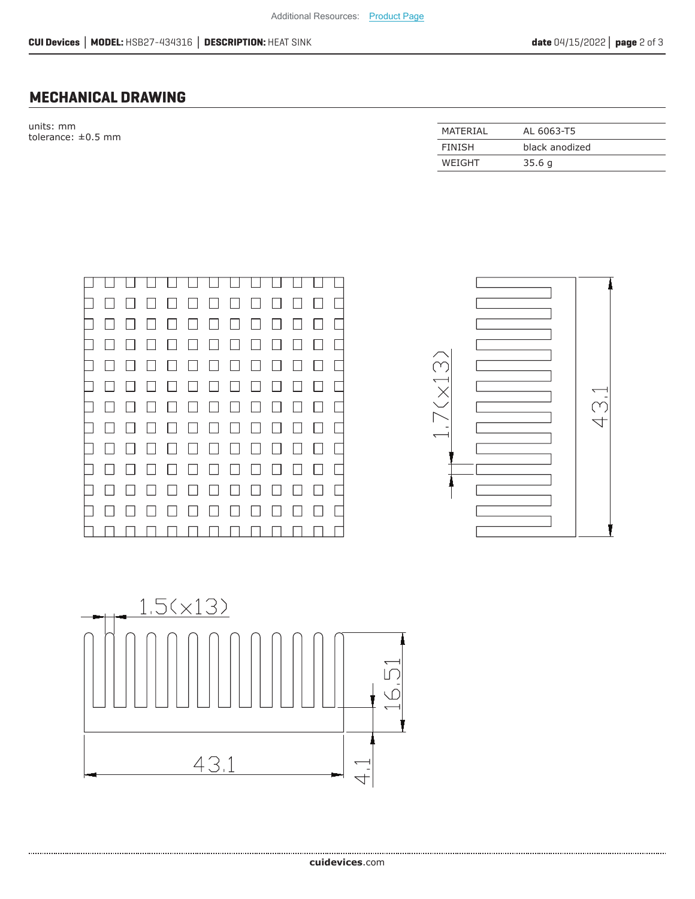#### **MECHANICAL DRAWING**

units: mm tolerance:  $\pm 0.5$  mm

| MATERIAL | AL 6063-T5     |
|----------|----------------|
| FINISH   | black anodized |
| WEIGHT   | 35.6q          |